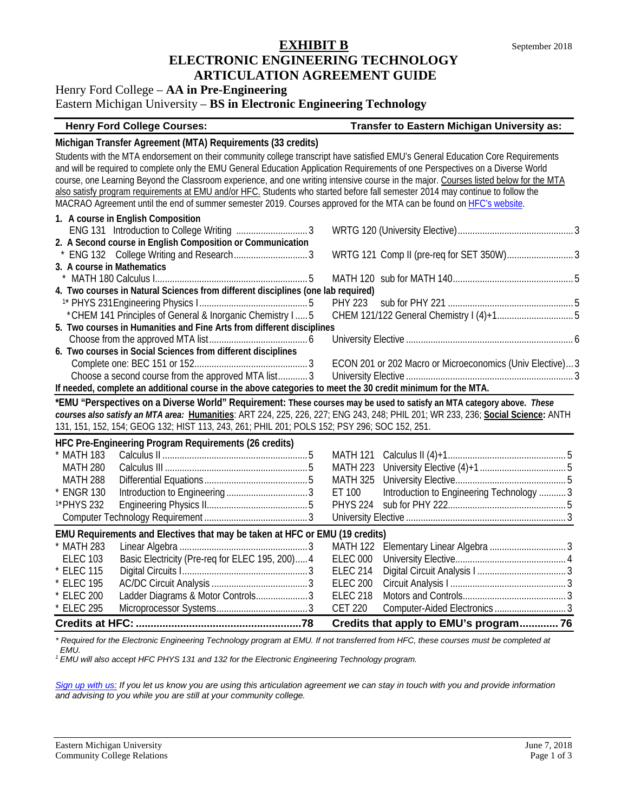## **EXHIBIT B** September 2018 **ELECTRONIC ENGINEERING TECHNOLOGY ARTICULATION AGREEMENT GUIDE**

## Henry Ford College – **AA in Pre-Engineering**

## Eastern Michigan University – **BS in Electronic Engineering Technology**

## **Henry Ford College Courses: Transfer to Eastern Michigan University as:**

## **Michigan Transfer Agreement (MTA) Requirements (33 credits)**

Students with the MTA endorsement on their community college transcript have satisfied EMU's General Education Core Requirements and will be required to complete only the EMU General Education Application Requirements of one Perspectives on a Diverse World course, one Learning Beyond the Classroom experience, and one writing intensive course in the major. Courses listed below for the MTA also satisfy program requirements at EMU and/or HFC. Students who started before fall semester 2014 may continue to follow the MACRAO Agreement until the end of summer semester 2019. Courses approved for the MTA can be found on [HFC's website.](https://catalog.hfcc.edu/degrees/gen-ed)

| 1. A course in English Composition                                                                                              |                                                           |
|---------------------------------------------------------------------------------------------------------------------------------|-----------------------------------------------------------|
|                                                                                                                                 |                                                           |
| 2. A Second course in English Composition or Communication                                                                      |                                                           |
|                                                                                                                                 |                                                           |
| 3. A course in Mathematics                                                                                                      |                                                           |
|                                                                                                                                 |                                                           |
| 4. Two courses in Natural Sciences from different disciplines (one lab required)                                                |                                                           |
|                                                                                                                                 | <b>PHY 223</b>                                            |
| * CHEM 141 Principles of General & Inorganic Chemistry I  5                                                                     |                                                           |
| 5. Two courses in Humanities and Fine Arts from different disciplines                                                           |                                                           |
|                                                                                                                                 |                                                           |
| 6. Two courses in Social Sciences from different disciplines                                                                    |                                                           |
|                                                                                                                                 | ECON 201 or 202 Macro or Microeconomics (Univ Elective) 3 |
| Choose a second course from the approved MTA list3                                                                              |                                                           |
| If needed, complete an additional course in the above categories to meet the 30 credit minimum for the MTA.                     |                                                           |
| *EMU "Perspectives on a Diverse World" Requirement: These courses may be used to satisfy an MTA category above. These           |                                                           |
| courses also satisfy an MTA area: Humanities: ART 224, 225, 226, 227; ENG 243, 248; PHIL 201; WR 233, 236; Social Science: ANTH |                                                           |
| 131, 151, 152, 154; GEOG 132; HIST 113, 243, 261; PHIL 201; POLS 152; PSY 296; SOC 152, 251.                                    |                                                           |
| HFC Pre-Engineering Program Requirements (26 credits)                                                                           |                                                           |
| * MATH 183                                                                                                                      | MATH 121                                                  |
| <b>MATH 280</b>                                                                                                                 | <b>MATH 223</b>                                           |
| <b>MATH 288</b>                                                                                                                 | <b>MATH 325</b>                                           |
| * ENGR 130                                                                                                                      | Introduction to Engineering Technology  3<br>ET 100       |
| <sup>1*</sup> PHYS 232                                                                                                          | <b>PHYS 224</b>                                           |
|                                                                                                                                 |                                                           |
| EMU Requirements and Electives that may be taken at HFC or EMU (19 credits)                                                     |                                                           |
| * MATH 283                                                                                                                      | <b>MATH 122</b>                                           |
| Basic Electricity (Pre-req for ELEC 195, 200) 4<br><b>ELEC 103</b>                                                              | <b>ELEC 000</b>                                           |
| * ELEC 115                                                                                                                      | <b>ELEC 214</b>                                           |
| * ELEC 195                                                                                                                      | <b>ELEC 200</b>                                           |
| Ladder Diagrams & Motor Controls3<br>* ELEC 200                                                                                 | <b>ELEC 218</b>                                           |
|                                                                                                                                 |                                                           |
| * ELEC 295                                                                                                                      | Computer-Aided Electronics  3<br><b>CET 220</b>           |

*\* Required for the Electronic Engineering Technology program at EMU. If not transferred from HFC, these courses must be completed at EMU.* 

*<sup>1</sup> EMU will also accept HFC PHYS 131 and 132 for the Electronic Engineering Technology program.* 

*[Sign up with us:](https://www.emich.edu/ccr/articulation-agreements/signup.php) If you let us know you are using this articulation agreement we can stay in touch with you and provide information and advising to you while you are still at your community college.*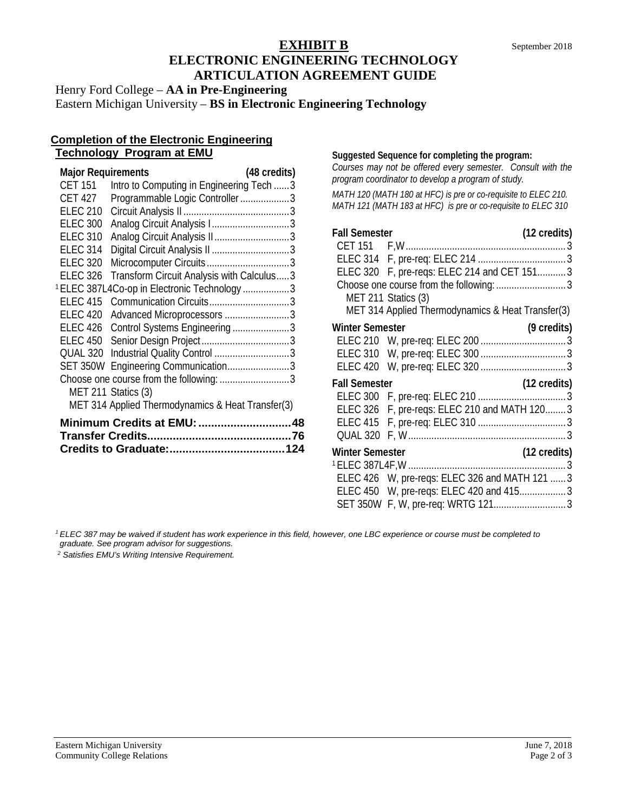## **EXHIBIT B** September 2018 **ELECTRONIC ENGINEERING TECHNOLOGY ARTICULATION AGREEMENT GUIDE**

Henry Ford College – **AA in Pre-Engineering** Eastern Michigan University – **BS in Electronic Engineering Technology**

## **Completion of the Electronic Engineering Technology Program at EMU**

| <b>Major Requirements</b> |                                                         | (48 credits) |
|---------------------------|---------------------------------------------------------|--------------|
| <b>CET 151</b>            | Intro to Computing in Engineering Tech  3               |              |
| <b>CET 427</b>            | Programmable Logic Controller3                          |              |
| <b>ELEC 210</b>           |                                                         |              |
| <b>ELEC 300</b>           |                                                         |              |
| <b>ELEC 310</b>           |                                                         |              |
| <b>ELEC 314</b>           |                                                         |              |
| <b>ELEC 320</b>           |                                                         |              |
| <b>ELEC 326</b>           | Transform Circuit Analysis with Calculus3               |              |
|                           | <sup>1</sup> ELEC 387L4Co-op in Electronic Technology 3 |              |
| <b>ELEC 415</b>           |                                                         |              |
| <b>ELEC 420</b>           | Advanced Microprocessors 3                              |              |
| <b>ELEC 426</b>           | Control Systems Engineering 3                           |              |
| <b>ELEC 450</b>           |                                                         |              |
| QUAL 320                  |                                                         |              |
|                           | SET 350W Engineering Communication3                     |              |
|                           | Choose one course from the following: 3                 |              |
|                           | MET 211 Statics (3)                                     |              |
|                           | MET 314 Applied Thermodynamics & Heat Transfer(3)       |              |
|                           | Minimum Credits at EMU: 48                              |              |
|                           |                                                         |              |
|                           |                                                         |              |

#### **Suggested Sequence for completing the program:**

*Courses may not be offered every semester. Consult with the program coordinator to develop a program of study.* 

*MATH 120 (MATH 180 at HFC) is pre or co-requisite to ELEC 210. MATH 121 (MATH 183 at HFC) is pre or co-requisite to ELEC 310*

| (12 credits)                                      |
|---------------------------------------------------|
|                                                   |
|                                                   |
| ELEC 320 F, pre-reqs: ELEC 214 and CET 151 3      |
|                                                   |
|                                                   |
| MET 314 Applied Thermodynamics & Heat Transfer(3) |
| (9 credits)                                       |
|                                                   |
|                                                   |
|                                                   |
| (12 credits)                                      |
|                                                   |
| ELEC 326 F, pre-reqs: ELEC 210 and MATH 120 3     |
|                                                   |
|                                                   |
| (12 credits)                                      |
|                                                   |
| ELEC 426 W, pre-reqs: ELEC 326 and MATH 121  3    |
| ELEC 450 W, pre-reqs: ELEC 420 and 415 3          |
|                                                   |
|                                                   |

*<sup>1</sup> ELEC 387 may be waived if student has work experience in this field, however, one LBC experience or course must be completed to* 

*graduate. See program advisor for suggestions.*

*<sup>2</sup> Satisfies EMU's Writing Intensive Requirement.*